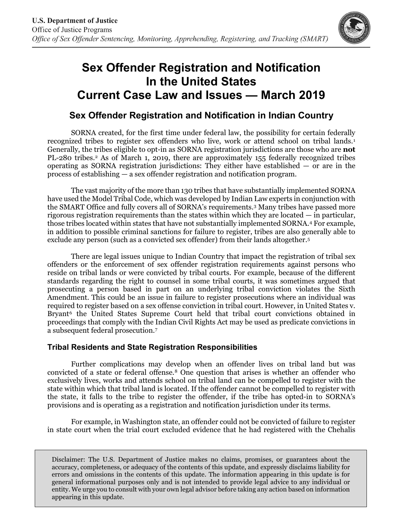

## **Sex Offender Registration and Notification In the United States Current Case Law and Issues — March 2019**

## **Sex Offender Registration and Notification in Indian Country**

SORNA created, for the first time under federal law, the possibility for certain federally recognized tribes to register sex offenders who live, work or attend school on tribal lands.[1](#page-1-0) Generally, the tribes eligible to opt-in as SORNA registration jurisdictions are those who are **not** PL-[2](#page-1-1)80 tribes.<sup>2</sup> As of March 1, 2019, there are approximately 155 federally recognized tribes operating as SORNA registration jurisdictions: They either have established — or are in the process of establishing — a sex offender registration and notification program.

The vast majority of the more than 130 tribes that have substantially implemented SORNA have used the Model Tribal Code, which was developed by Indian Law experts in conjunction with the SMART Office and fully covers all of SORNA's requirements.[3](#page-1-2) Many tribes have passed more rigorous registration requirements than the states within which they are located — in particular, those tribes located within states that have not substantially implemented SORNA[.4](#page-1-3) For example, in addition to possible criminal sanctions for failure to register, tribes are also generally able to exclude any person (such as a convicted sex offender) from their lands altogether.[5](#page-1-4)

There are legal issues unique to Indian Country that impact the registration of tribal sex offenders or the enforcement of sex offender registration requirements against persons who reside on tribal lands or were convicted by tribal courts. For example, because of the different standards regarding the right to counsel in some tribal courts, it was sometimes argued that prosecuting a person based in part on an underlying tribal conviction violates the Sixth Amendment. This could be an issue in failure to register prosecutions where an individual was required to register based on a sex offense conviction in tribal court. However, in United States v. Bryant<sup>[6](#page-1-5)</sup> the United States Supreme Court held that tribal court convictions obtained in proceedings that comply with the Indian Civil Rights Act may be used as predicate convictions in a subsequent federal prosecution.[7](#page-1-6)

## **Tribal Residents and State Registration Responsibilities**

Further complications may develop when an offender lives on tribal land but was convicted of a state or federal offense.[8](#page-1-7) One question that arises is whether an offender who exclusively lives, works and attends school on tribal land can be compelled to register with the state within which that tribal land is located. If the offender cannot be compelled to register with the state, it falls to the tribe to register the offender, if the tribe has opted-in to SORNA's provisions and is operating as a registration and notification jurisdiction under its terms.

For example, in Washington state, an offender could not be convicted of failure to register in state court when the trial court excluded evidence that he had registered with the Chehalis

Disclaimer: The U.S. Department of Justice makes no claims, promises, or guarantees about the accuracy, completeness, or adequacy of the contents of this update, and expressly disclaims liability for errors and omissions in the contents of this update. The information appearing in this update is for general informational purposes only and is not intended to provide legal advice to any individual or entity. We urge you to consult with your own legal advisor before taking any action based on information appearing in this update.